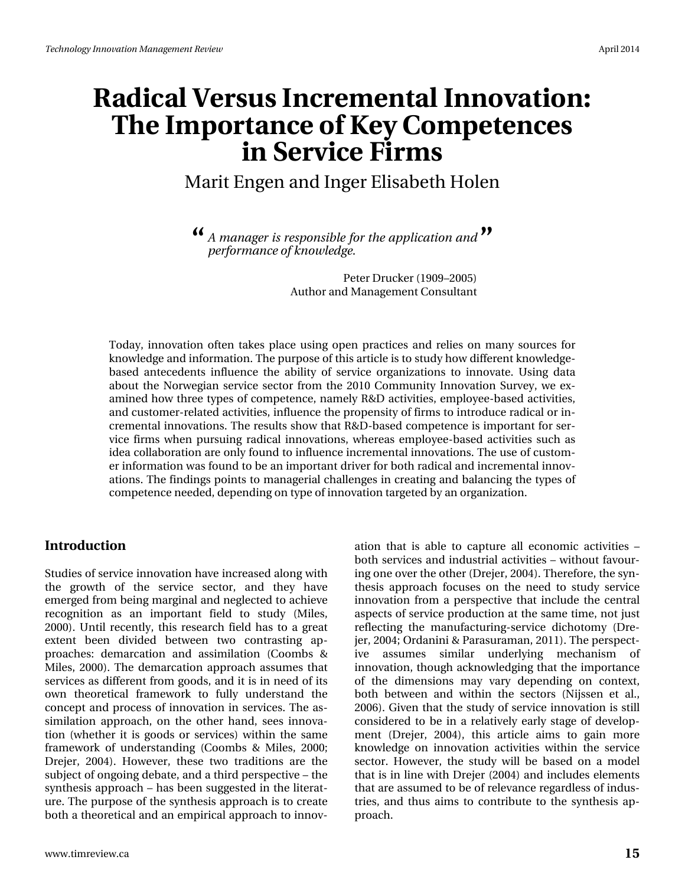# **Radical Versus Incremental Innovation: The Importance of Key Competences in Service Firms**

Marit Engen and Inger Elisabeth Holen

 $\mathcal{A}$  *M manager is responsible for the application and*  $\mathcal{A}$ *performance of knowledge.*

> Peter Drucker (1909–2005) Author and Management Consultant

Today, innovation often takes place using open practices and relies on many sources for knowledge and information. The purpose of this article is to study how different knowledgebased antecedents influence the ability of service organizations to innovate. Using data about the Norwegian service sector from the 2010 Community Innovation Survey, we examined how three types of competence, namely R&D activities, employee-based activities, and customer-related activities, influence the propensity of firms to introduce radical or incremental innovations. The results show that R&D-based competence is important for service firms when pursuing radical innovations, whereas employee-based activities such as idea collaboration are only found to influence incremental innovations. The use of customer information was found to be an important driver for both radical and incremental innovations. The findings points to managerial challenges in creating and balancing the types of competence needed, depending on type of innovation targeted by an organization.

#### **Introduction**

Studies of service innovation have increased along with the growth of the service sector, and they have emerged from being marginal and neglected to achieve recognition as an important field to study (Miles, 2000). Until recently, this research field has to a great extent been divided between two contrasting approaches: demarcation and assimilation (Coombs & Miles, 2000). The demarcation approach assumes that services as different from goods, and it is in need of its own theoretical framework to fully understand the concept and process of innovation in services. The assimilation approach, on the other hand, sees innovation (whether it is goods or services) within the same framework of understanding (Coombs & Miles, 2000; Drejer, 2004). However, these two traditions are the subject of ongoing debate, and a third perspective – the synthesis approach – has been suggested in the literature. The purpose of the synthesis approach is to create both a theoretical and an empirical approach to innovation that is able to capture all economic activities – both services and industrial activities – without favouring one over the other (Drejer, 2004). Therefore, the synthesis approach focuses on the need to study service innovation from a perspective that include the central aspects of service production at the same time, not just reflecting the manufacturing-service dichotomy (Drejer, 2004; Ordanini & Parasuraman, 2011). The perspective assumes similar underlying mechanism of innovation, though acknowledging that the importance of the dimensions may vary depending on context, both between and within the sectors (Nijssen et al., 2006). Given that the study of service innovation is still considered to be in a relatively early stage of development (Drejer, 2004), this article aims to gain more knowledge on innovation activities within the service sector. However, the study will be based on a model that is in line with Drejer (2004) and includes elements that are assumed to be of relevance regardless of industries, and thus aims to contribute to the synthesis approach.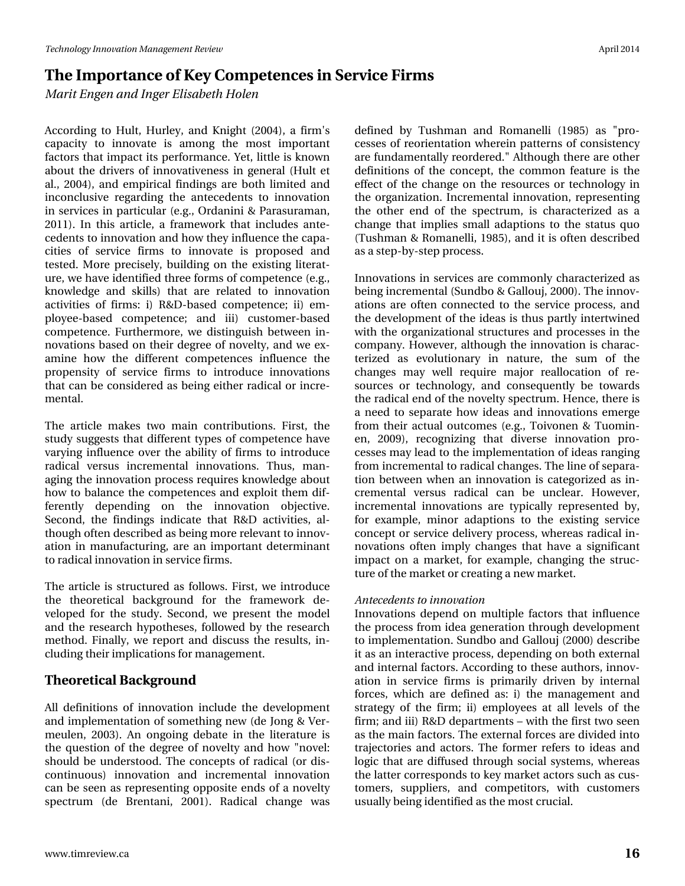*Marit Engen and Inger Elisabeth Holen*

According to Hult, Hurley, and Knight (2004), a firm's capacity to innovate is among the most important factors that impact its performance. Yet, little is known about the drivers of innovativeness in general (Hult et al., 2004), and empirical findings are both limited and inconclusive regarding the antecedents to innovation in services in particular (e.g., Ordanini & Parasuraman, 2011). In this article, a framework that includes antecedents to innovation and how they influence the capacities of service firms to innovate is proposed and tested. More precisely, building on the existing literature, we have identified three forms of competence (e.g., knowledge and skills) that are related to innovation activities of firms: i) R&D-based competence; ii) employee-based competence; and iii) customer-based competence. Furthermore, we distinguish between innovations based on their degree of novelty, and we examine how the different competences influence the propensity of service firms to introduce innovations that can be considered as being either radical or incremental.

The article makes two main contributions. First, the study suggests that different types of competence have varying influence over the ability of firms to introduce radical versus incremental innovations. Thus, managing the innovation process requires knowledge about how to balance the competences and exploit them differently depending on the innovation objective. Second, the findings indicate that R&D activities, although often described as being more relevant to innovation in manufacturing, are an important determinant to radical innovation in service firms.

The article is structured as follows. First, we introduce the theoretical background for the framework developed for the study. Second, we present the model and the research hypotheses, followed by the research method. Finally, we report and discuss the results, including their implications for management.

### **Theoretical Background**

All definitions of innovation include the development and implementation of something new (de Jong & Vermeulen, 2003). An ongoing debate in the literature is the question of the degree of novelty and how "novel: should be understood. The concepts of radical (or discontinuous) innovation and incremental innovation can be seen as representing opposite ends of a novelty spectrum (de Brentani, 2001). Radical change was

defined by Tushman and Romanelli (1985) as "processes of reorientation wherein patterns of consistency are fundamentally reordered." Although there are other definitions of the concept, the common feature is the effect of the change on the resources or technology in the organization. Incremental innovation, representing the other end of the spectrum, is characterized as a change that implies small adaptions to the status quo (Tushman & Romanelli, 1985), and it is often described as a step-by-step process.

Innovations in services are commonly characterized as being incremental (Sundbo & Gallouj, 2000). The innovations are often connected to the service process, and the development of the ideas is thus partly intertwined with the organizational structures and processes in the company. However, although the innovation is characterized as evolutionary in nature, the sum of the changes may well require major reallocation of resources or technology, and consequently be towards the radical end of the novelty spectrum. Hence, there is a need to separate how ideas and innovations emerge from their actual outcomes (e.g., Toivonen & Tuominen, 2009), recognizing that diverse innovation processes may lead to the implementation of ideas ranging from incremental to radical changes. The line of separation between when an innovation is categorized as incremental versus radical can be unclear. However, incremental innovations are typically represented by, for example, minor adaptions to the existing service concept or service delivery process, whereas radical innovations often imply changes that have a significant impact on a market, for example, changing the structure of the market or creating a new market.

#### *Antecedents to innovation*

Innovations depend on multiple factors that influence the process from idea generation through development to implementation. Sundbo and Gallouj (2000) describe it as an interactive process, depending on both external and internal factors. According to these authors, innovation in service firms is primarily driven by internal forces, which are defined as: i) the management and strategy of the firm; ii) employees at all levels of the firm; and iii) R&D departments – with the first two seen as the main factors. The external forces are divided into trajectories and actors. The former refers to ideas and logic that are diffused through social systems, whereas the latter corresponds to key market actors such as customers, suppliers, and competitors, with customers usually being identified as the most crucial.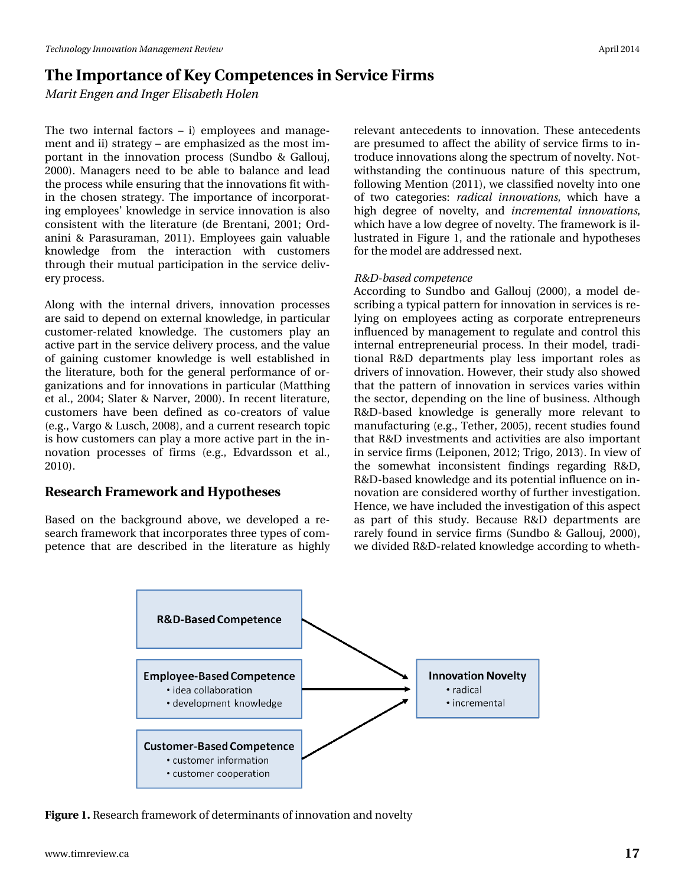*Marit Engen and Inger Elisabeth Holen*

The two internal factors  $-$  i) employees and management and ii) strategy – are emphasized as the most important in the innovation process (Sundbo & Gallouj, 2000). Managers need to be able to balance and lead the process while ensuring that the innovations fit within the chosen strategy. The importance of incorporating employees' knowledge in service innovation is also consistent with the literature (de Brentani, 2001; Ordanini & Parasuraman, 2011). Employees gain valuable knowledge from the interaction with customers through their mutual participation in the service delivery process.

Along with the internal drivers, innovation processes are said to depend on external knowledge, in particular customer-related knowledge. The customers play an active part in the service delivery process, and the value of gaining customer knowledge is well established in the literature, both for the general performance of organizations and for innovations in particular (Matthing et al., 2004; Slater & Narver, 2000). In recent literature, customers have been defined as co-creators of value (e.g., Vargo & Lusch, 2008), and a current research topic is how customers can play a more active part in the innovation processes of firms (e.g., Edvardsson et al., 2010).

#### **Research Framework and Hypotheses**

Based on the background above, we developed a research framework that incorporates three types of competence that are described in the literature as highly relevant antecedents to innovation. These antecedents are presumed to affect the ability of service firms to introduce innovations along the spectrum of novelty. Notwithstanding the continuous nature of this spectrum, following Mention (2011), we classified novelty into one of two categories: *radical innovations*, which have a high degree of novelty, and *incremental innovations*, which have a low degree of novelty. The framework is illustrated in Figure 1, and the rationale and hypotheses for the model are addressed next.

#### *R&D-based competence*

According to Sundbo and Gallouj (2000), a model describing a typical pattern for innovation in services is relying on employees acting as corporate entrepreneurs influenced by management to regulate and control this internal entrepreneurial process. In their model, traditional R&D departments play less important roles as drivers of innovation. However, their study also showed that the pattern of innovation in services varies within the sector, depending on the line of business. Although R&D-based knowledge is generally more relevant to manufacturing (e.g., Tether, 2005), recent studies found that R&D investments and activities are also important in service firms (Leiponen, 2012; Trigo, 2013). In view of the somewhat inconsistent findings regarding R&D, R&D-based knowledge and its potential influence on innovation are considered worthy of further investigation. Hence, we have included the investigation of this aspect as part of this study. Because R&D departments are rarely found in service firms (Sundbo & Gallouj, 2000), we divided R&D-related knowledge according to wheth-



**Figure 1.** Research framework of determinants of innovation and novelty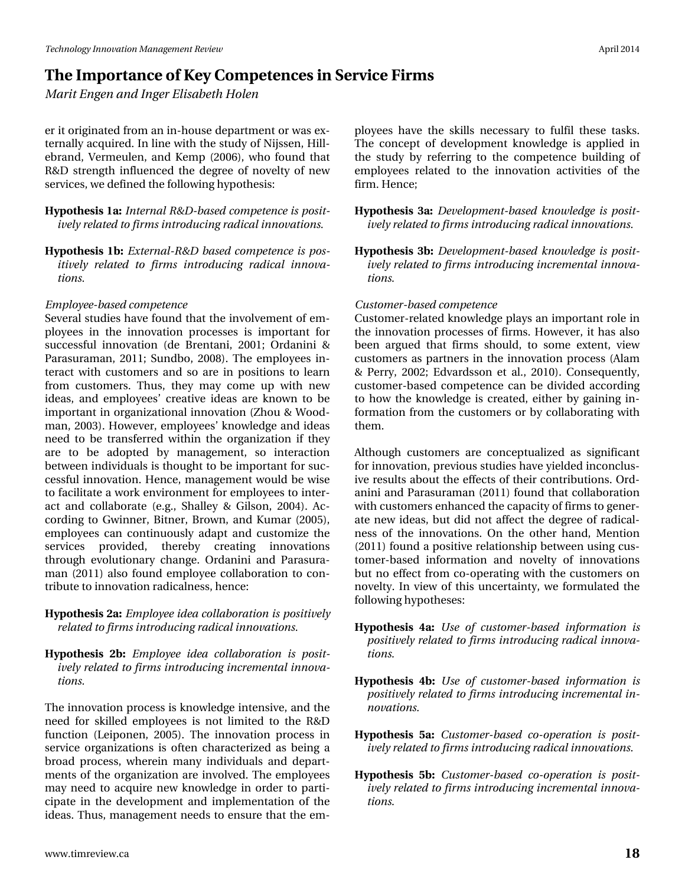*Marit Engen and Inger Elisabeth Holen*

er it originated from an in-house department or was externally acquired. In line with the study of Nijssen, Hillebrand, Vermeulen, and Kemp (2006), who found that R&D strength influenced the degree of novelty of new services, we defined the following hypothesis:

**Hypothesis 1a:** *Internal R&D-based competence is positively related to firms introducing radical innovations.*

**Hypothesis 1b:** *External-R&D based competence is positively related to firms introducing radical innovations.*

#### *Employee-based competence*

Several studies have found that the involvement of employees in the innovation processes is important for successful innovation (de Brentani, 2001; Ordanini & Parasuraman, 2011; Sundbo, 2008). The employees interact with customers and so are in positions to learn from customers. Thus, they may come up with new ideas, and employees' creative ideas are known to be important in organizational innovation (Zhou & Woodman, 2003). However, employees' knowledge and ideas need to be transferred within the organization if they are to be adopted by management, so interaction between individuals is thought to be important for successful innovation. Hence, management would be wise to facilitate a work environment for employees to interact and collaborate (e.g., Shalley & Gilson, 2004). According to Gwinner, Bitner, Brown, and Kumar (2005), employees can continuously adapt and customize the services provided, thereby creating innovations through evolutionary change. Ordanini and Parasuraman (2011) also found employee collaboration to contribute to innovation radicalness, hence:

#### **Hypothesis 2a:** *Employee idea collaboration is positively related to firms introducing radical innovations.*

**Hypothesis 2b:** *Employee idea collaboration is positively related to firms introducing incremental innovations.*

The innovation process is knowledge intensive, and the need for skilled employees is not limited to the R&D function (Leiponen, 2005). The innovation process in service organizations is often characterized as being a broad process, wherein many individuals and departments of the organization are involved. The employees may need to acquire new knowledge in order to participate in the development and implementation of the ideas. Thus, management needs to ensure that the employees have the skills necessary to fulfil these tasks. The concept of development knowledge is applied in the study by referring to the competence building of employees related to the innovation activities of the firm. Hence;

- **Hypothesis 3a:** *Development-based knowledge is positively related to firms introducing radical innovations.*
- **Hypothesis 3b:** *Development-based knowledge is positively related to firms introducing incremental innovations.*

#### *Customer-based competence*

Customer-related knowledge plays an important role in the innovation processes of firms. However, it has also been argued that firms should, to some extent, view customers as partners in the innovation process (Alam & Perry, 2002; Edvardsson et al., 2010). Consequently, customer-based competence can be divided according to how the knowledge is created, either by gaining information from the customers or by collaborating with them.

Although customers are conceptualized as significant for innovation, previous studies have yielded inconclusive results about the effects of their contributions. Ordanini and Parasuraman (2011) found that collaboration with customers enhanced the capacity of firms to generate new ideas, but did not affect the degree of radicalness of the innovations. On the other hand, Mention (2011) found a positive relationship between using customer-based information and novelty of innovations but no effect from co-operating with the customers on novelty. In view of this uncertainty, we formulated the following hypotheses:

- **Hypothesis 4a:** *Use of customer-based information is positively related to firms introducing radical innovations.*
- **Hypothesis 4b:** *Use of customer-based information is positively related to firms introducing incremental innovations.*
- **Hypothesis 5a:** *Customer-based co-operation is positively related to firms introducing radical innovations.*
- **Hypothesis 5b:** *Customer-based co-operation is positively related to firms introducing incremental innovations.*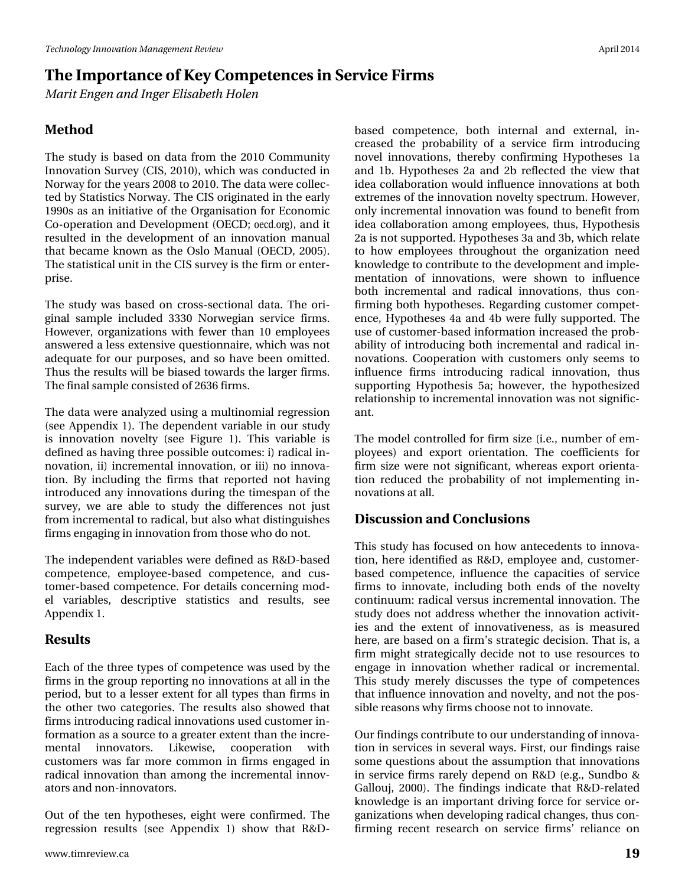# Wikh #Lp sruwdgfh#i#Nh|#Frp shwhgfhv#g#Vhuylfh#lup v P du with qi hq #dqg #q j hut #d vdeh wk # K r dnq

### Phwkrg

Wikh#wxg|#lv#edvhg#rq#gdvd#iurp#wkh#5343#Frppxqlw|# Logrydwr g# /x wh|#FLV /#5343, /# klfk # dv# r ggxfwhg# g# Qr uz d| #r u#kh# hduv#533; #w #53431#Wk h#gdvd#z huh# r oohf 0 4<<3v#dv#dq#qlwdwlyh#ri#wkh#Rujdqlvdwlrq#tru#Hfrqrplf# Fr 0r shudwir g#dgg#Ghyhorsp hqw#RHFG# hfgfruj, /#dgg#w# uhvxowhg#lq#wkh#ghyhorsphqw#ri#dq#lqqrydwlrq#pdqxdo# wk dwitchf dp httngr z g#dv#wk httRvor #P dgx do#RHFG/#5338, # Wikh#wdwww.fdd#xqlw#q#wkh#FLV#xxuyh|#v#wkh#lup#u#hqwhu0 suvh#

Wikh#wxg|#z dv#edvhg#rq#furw0vhfwlrqdd#gdwd1#Wkh#rul0 jlgdo#vdpsoh#lgfoxghg#6663#Qruzhjldg#vhuylfh#ilupv# Krz hyhu/#r ujdql}dwr qv#z lwk#ihz hu#wkdq#43#hp sor | hhv# dqvz huhg#d#bhw#h{whqvlyh#xhwwrqqdluh/#zklfk#zdv#qrw# dght x dwh#iru#rxu#sxusrvhv/#dqg#vr#kdyh#ehhq#rplwwhg1# Wkxv#wkh#uhvxow#zloo#eh#eldvhg#wrzdugv#wkh#odujhu#llupv# Wkh#lqdd#dpsdn#rqvlwhg#i#5969#lupv1

Wikh#gdwd#z huh#dqdd } hg#xvlqj #d#p xowlqrp Ido#uhjuhvvlrq# +whh#Dsshqgl{#4,14Wkh#ghshqghqw#yduldedn#lq#rxu#wxg|# lv#lqqrydwrq#qryhow|#+whh#lljxuh#4,1#Wklv#yduldedn#lv# ghilqhg#dv#kdylqj#wkuhh#srwledn#xwfrphv=#,#udglfdd#q0 grydwr g/#l,#gfuhphgwdd#ggrydwr g/#ru#ll,#gr#ggryd0 whrq #E|#lqfoxglqj#wkh#ilupv#wkdw#uhsruwhg#qrw#kdylqj# lqwurgxfhg#dq|#lqqrydwlrqv#gxulqj#wkh#wlphvsdq#ri#wkh# vx uyh| /#z h#duh#dedh#w #vwx g| #wk h#gliihuhqf hv#qr w#mx vw# iurp #qfuhphqvdd#wr#udglfdd#exw#dovr#zkdw#glwwlqjxlvkhv# ilup v#hqjdjlqj#q#qqrydwlrq#urp#wkrvh#zkr#gr#qrw1#

Wkh#qghshqghqw#yduldednv#zhuh#ghilqhg#dv#U) G0edvhg# frp shwhqfh/#hp sor|hh0edvhg#frp shwhqfh/#dqg#fxv0 wrphu0edvhg#frpshwhqfh1#lru#ghwdlov#frqfhuqlqj#prq0 ho# yduldednv/# ghvf ulswlyh# vvdwlwwlf v# dqg# uhvxow/# vhh#  $Ds shqgl$   $#$   $#$ 

### Uhvx ow

Hdf k # i # wk h # wk uh h # wk sh v # i # r p sh what h # d v # x h g # e | # wk h # ilup v#q#wkh#jurxs#uhsruwlqj#qr#qqrydwlrqv#dw#doc#q#wkh# shulrg/#exw#wr#d#bhwhu#h{whqw#ru#doo#w|shv#wkdq#llupv#lq# wk h#r wk hu#wz r #f dwhj r ul hv #A/k h#uhvx oww#dovr #vk r z hg#wk dw# ilup v#qwurgxflqj#udglfdd#qqrydwlrqv#xvhg#xwwrphu#q0 ir up dwir g#dv#d#vrx uf h#wr#d# uhdwhu#h{whqw#wk dg#wk h#qfuh0 p hqwdd# lqqrydwruv<sup>1#</sup> Cinhzlvh/# frrshudwlrq# zlwk# f x w r p huv#z dv#du#p r uh#f r p p r q#lq#lup v#hqj dj hg#lq# udglfdo#lqqrydw'r q#wkdq#dprqj#wkh#lqfuhphqwdo#lqqry0 dwww.#dqg#qrq0lqqrydwww.1

Rxwh i#wkh#whq#k|srwkhvhv/#hljkw#zhuh#frqiluphg1#Wkh# uhjuh wlrq#uh vx ow#+whh#Dsshqgl{#4,#vkrz#wkdw#U) G0

edvhg#frpshwhqfh/#erwk#lqwhuqdo#dqg#h{whuqdo#lq0 f undvhg#wkh#suredeldw|#ri#d#vhuylfh#ilup #lqwurgxflqj# qryho#lqqrydwrqv/#wkhuhe|#frqiluplqj#K|srwkhvhv#4d# dqg#4e1#K|srwkhvhv#5d#dqg#5e#uhidnfwhg#wkh#ylhz#wkdw# lghd#frooderudwirq#zrxog#qioxhqfh#qqrydwirqv#dw#erwk# h{ whp hv#i#wkh#qqrydwlrq#qryhow| #vshfww.p 1# Krzhyhu/# r go #gf uhp hqwdo#ggr ydw'r g#z dv#r xgg#wr#ehghilw#urp # lghd#frooderudwirg#dprgj#hpsor|hhv/#wkxv/#K|srwkhvlv# 5d#v#qrw#xssruvhg1#K|srwkhvhv#6d#dqg#6e/#zklfk#uhodvln# w #krz #hp sor | hhv#wkurxjkrxw#wkh#rujdql}dwtrq#qhhq# nqrz ohgjh#wr#frqwulexwh#wr#wkh#ghyhorsphqw#dqg#psoh0 p hqvdvvr q#ri#lqqrydvvr qv/#z huh#vkrzq#wr#lqioxhqfh# er wk#lqfuhphqwdd#dqg#udglfdd#lqqrydwlrqv/#wkxv#frq0 ilup lqj#erwk#k|srwkhvhv1#Uhjduglqj#fxwwrphu#frpshw0 hqfh/#K|srwkhvhv#7d#dqg#7e#zhuh#ixool#vxssruwhg1#Nkh# x vh# i# x vwr p hu0edvhg#qir up dwlr q#qf uhdvhg#wk h#s ur e0 deldw #ri#qwurgxflqj#erwk#qfuhphqwdo#dqg#udglfdo#q0 qrydw'r qv'#Frrshudw'r q#z lwk#fxwwrphuv#rqd #vhhpv#wr#  $\lg i \alpha$  hqf h#ilup v#lqwur gxflqj #udglf do#lqqr ydwlr q/#wkxv# vxssruwlqj#K|srwkhvlv#8d:#krzhyhu/#wkh#k|srwkhvl}hg# uhodwir gykls#wr#gfuhphgwdo#ggrydwir g#zdv#grw#vljglilf0  $dqw#$ 

With #product row to dng# ru#llup #vl}h#+lth 1#qxpehu# i#hp 0 sor | hhv, #dqg#h{sruw#rulhqvdwlrq1#Wkh#frhiilflhqw#iru# ilup #vl}h#z huh#qrw#vljqlilfdqw#z khuhdv#h{sruw#rulhqwd0 whrq#uhgxfhg#wkh#suredeldw|#ri#qrw#lpsohphqwlqj#lq0 qr ydw'r qv#dw#doof#

### Glvf x wlr g#dgg#Fr gf ox vlr gv

Wikiv#wxg|#kdv#irfxvhg#rq#krz#dqvhfhghqw#wr#lqqryd0 whrq/#khuh#lghqwilhg#dv#U) G/#hpsor|hh#dqg/#xwwrphu0 edvhg#frpshwhqfh/#lqioxhqfh#wkh#fdsdflwhv#ri#vhuylfh# ilup v#wr#lqqrydwh/#lqfoxglqj#erwk#hqgv#ri#wkh#qryhow|# frqwlqxxp = #udglfdd#yhuvxv#qfuhphqwdd#qqrydwlrq1# Wkh# ww.gl #gr hv#gr w#dgguhvv#z khwkhu#wkh#lggr ydwlr g#df wlylw0 lhv#dqg#wkh#h{whqw#ri#lqqrydwlyhqhw/#dv#lv#phdvxuhg# khuh/#duh#edvhg#g#d#llup \*v#wudvhjlf#ghflvlrg1#Mkdv#v/#d# ilup #p lj kw#wudwhj lfdoot#ghflgh#grw#wr#xvh#uhvrxufhv#wr# hqi di h#lq#lqqrydwrq#zkhwkhu#udglfdd#ru#lqfuhphqwdd# Willy#ww.gl #p huhd #glvfxwhv#wkh#wjsh#ri#frpshwhqfhv# wkdw#qioxhqfh#qqrydwrq#dqg#qryhow|/#dqg#qrw#wkh#srv0 vledn#uhdvrqv#zk|#lupv#krrvh#qrw#wr#qqrydwh#

Rxu#lqglqjv#rqwdexwh#wr#xu#xqghuwodqglqj#i#qqryd0 whrq#q#vhuylfhv#q#vhyhudd#zd|v1#luvw/#xu#lqglqjv#udlvh# vrph#xhwlrqv#derxw#wkh#dwxpswlrq#wkdw#qqrydwlrqv# lq#vhuylf h#lup v#uduhd #ghshqg#rq#U) G#+h1 1#Vxqger # # J door xn/#5333, #A/Kh#ilqglqjv#lqglfdwh#wkdw#U) G0uhodwhg# ngrz ohgi h#lv#dq#lp sruwdqw#gulylgi#rufh#ru#vhuylfh#ru0 jdgl}dwir gy#z khg#ghyhorslgj#udglfdo#fkdgjhv/#wkxv#frg0 ilup lqj #uhf hqw#uhvhduf k#r q#vhuylf h#ilup v\*#uhddqf h#r q#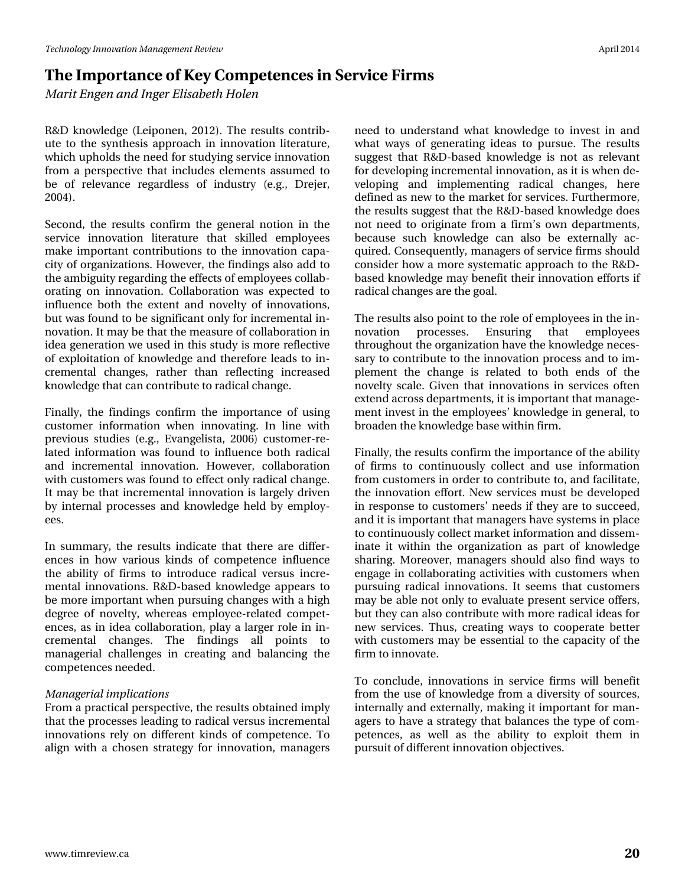*Marit Engen and Inger Elisabeth Holen*

R&D knowledge (Leiponen, 2012). The results contribute to the synthesis approach in innovation literature, which upholds the need for studying service innovation from a perspective that includes elements assumed to be of relevance regardless of industry (e.g., Drejer, 2004).

Second, the results confirm the general notion in the service innovation literature that skilled employees make important contributions to the innovation capacity of organizations. However, the findings also add to the ambiguity regarding the effects of employees collaborating on innovation. Collaboration was expected to influence both the extent and novelty of innovations, but was found to be significant only for incremental innovation. It may be that the measure of collaboration in idea generation we used in this study is more reflective of exploitation of knowledge and therefore leads to incremental changes, rather than reflecting increased knowledge that can contribute to radical change.

Finally, the findings confirm the importance of using customer information when innovating. In line with previous studies (e.g., Evangelista, 2006) customer-related information was found to influence both radical and incremental innovation. However, collaboration with customers was found to effect only radical change. It may be that incremental innovation is largely driven by internal processes and knowledge held by employees.

In summary, the results indicate that there are differences in how various kinds of competence influence the ability of firms to introduce radical versus incremental innovations. R&D-based knowledge appears to be more important when pursuing changes with a high degree of novelty, whereas employee-related competences, as in idea collaboration, play a larger role in incremental changes. The findings all points to managerial challenges in creating and balancing the competences needed.

#### *Managerial implications*

From a practical perspective, the results obtained imply that the processes leading to radical versus incremental innovations rely on different kinds of competence. To align with a chosen strategy for innovation, managers

need to understand what knowledge to invest in and what ways of generating ideas to pursue. The results suggest that R&D-based knowledge is not as relevant for developing incremental innovation, as it is when developing and implementing radical changes, here defined as new to the market for services. Furthermore, the results suggest that the R&D-based knowledge does not need to originate from a firm's own departments, because such knowledge can also be externally acquired. Consequently, managers of service firms should consider how a more systematic approach to the R&Dbased knowledge may benefit their innovation efforts if radical changes are the goal.

The results also point to the role of employees in the innovation processes. Ensuring that employees throughout the organization have the knowledge necessary to contribute to the innovation process and to implement the change is related to both ends of the novelty scale. Given that innovations in services often extend across departments, it is important that management invest in the employees' knowledge in general, to broaden the knowledge base within firm.

Finally, the results confirm the importance of the ability of firms to continuously collect and use information from customers in order to contribute to, and facilitate, the innovation effort. New services must be developed in response to customers' needs if they are to succeed, and it is important that managers have systems in place to continuously collect market information and disseminate it within the organization as part of knowledge sharing. Moreover, managers should also find ways to engage in collaborating activities with customers when pursuing radical innovations. It seems that customers may be able not only to evaluate present service offers, but they can also contribute with more radical ideas for new services. Thus, creating ways to cooperate better with customers may be essential to the capacity of the firm to innovate.

To conclude, innovations in service firms will benefit from the use of knowledge from a diversity of sources, internally and externally, making it important for managers to have a strategy that balances the type of competences, as well as the ability to exploit them in pursuit of different innovation objectives.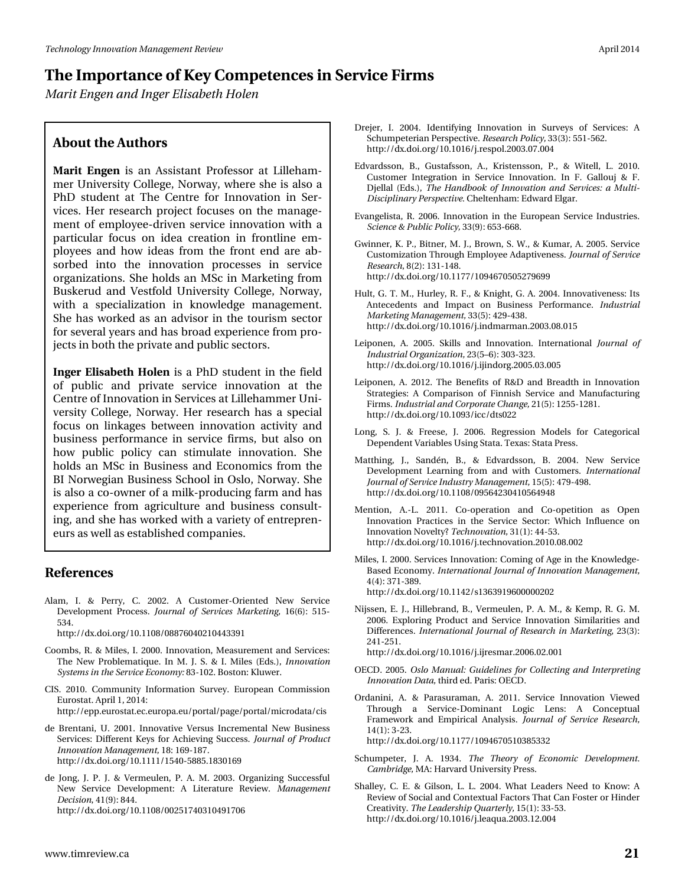*Marit Engen and Inger Elisabeth Holen*

### **About the Authors**

**Marit Engen** is an Assistant Professor at Lillehammer University College, Norway, where she is also a PhD student at The Centre for Innovation in Services. Her research project focuses on the management of employee-driven service innovation with a particular focus on idea creation in frontline employees and how ideas from the front end are absorbed into the innovation processes in service organizations. She holds an MSc in Marketing from Buskerud and Vestfold University College, Norway, with a specialization in knowledge management. She has worked as an advisor in the tourism sector for several years and has broad experience from projects in both the private and public sectors.

**Inger Elisabeth Holen** is a PhD student in the field of public and private service innovation at the Centre of Innovation in Services at Lillehammer University College, Norway. Her research has a special focus on linkages between innovation activity and business performance in service firms, but also on how public policy can stimulate innovation. She holds an MSc in Business and Economics from the BI Norwegian Business School in Oslo, Norway. She is also a co-owner of a milk-producing farm and has experience from agriculture and business consulting, and she has worked with a variety of entrepreneurs as well as established companies.

### **References**

Alam, I. & Perry, C. 2002. A Customer-Oriented New Service Development Process. *Journal of Services Marketing,* 16(6): 515- 534.

http://dx.doi.org/10.1108/08876040210443391

- Coombs, R. & Miles, I. 2000. Innovation, Measurement and Services: The New Problematique. In M. J. S. & I. Miles (Eds.), *Innovation Systems in the Service Economy:* 83-102. Boston: Kluwer.
- CIS. 2010. Community Information Survey. European Commission Eurostat. April 1, 2014:

http://epp.eurostat.ec.europa.eu/portal/page/portal/microdata/cis

- de Brentani, U. 2001. Innovative Versus Incremental New Business Services: Different Keys for Achieving Success. *Journal of Product Innovation Management,* 18: 169-187. http://dx.doi.org/10.1111/1540-5885.1830169
- de Jong, J. P. J. & Vermeulen, P. A. M. 2003. Organizing Successful New Service Development: A Literature Review. *Management Decision*, 41(9): 844. http://dx.doi.org/10.1108/00251740310491706
- Drejer, I. 2004. Identifying Innovation in Surveys of Services: A Schumpeterian Perspective. *Research Policy,* 33(3): 551-562. http://dx.doi.org/10.1016/j.respol.2003.07.004
- Edvardsson, B., Gustafsson, A., Kristensson, P., & Witell, L. 2010. Customer Integration in Service Innovation. In F. Gallouj & F. Djellal (Eds.), *The Handbook of Innovation and Services: a Multi-Disciplinary Perspective.* Cheltenham: Edward Elgar.
- Evangelista, R. 2006. Innovation in the European Service Industries. *Science & Public Policy,* 33(9): 653-668.
- Gwinner, K. P., Bitner, M. J., Brown, S. W., & Kumar, A. 2005. Service Customization Through Employee Adaptiveness. *Journal of Service Research*, 8(2): 131-148. http://dx.doi.org/10.1177/1094670505279699
- Hult, G. T. M., Hurley, R. F., & Knight, G. A. 2004. Innovativeness: Its Antecedents and Impact on Business Performance. *Industrial Marketing Management,* 33(5): 429-438. http://dx.doi.org/10.1016/j.indmarman.2003.08.015
- Leiponen, A. 2005. Skills and Innovation. International *Journal of Industrial Organization,* 23(5–6): 303-323. http://dx.doi.org/10.1016/j.ijindorg.2005.03.005
- Leiponen, A. 2012. The Benefits of R&D and Breadth in Innovation Strategies: A Comparison of Finnish Service and Manufacturing Firms. *Industrial and Corporate Change,* 21(5): 1255-1281. http://dx.doi.org/10.1093/icc/dts022
- Long, S. J. & Freese, J. 2006. Regression Models for Categorical Dependent Variables Using Stata. Texas: Stata Press.
- Matthing, J., Sandén, B., & Edvardsson, B. 2004. New Service Development Learning from and with Customers. *International Journal of Service Industry Management,* 15(5): 479-498. http://dx.doi.org/10.1108/09564230410564948
- Mention, A.-L. 2011. Co-operation and Co-opetition as Open Innovation Practices in the Service Sector: Which Influence on Innovation Novelty? *Technovation,* 31(1): 44-53. http://dx.doi.org/10.1016/j.technovation.2010.08.002
- Miles, I. 2000. Services Innovation: Coming of Age in the Knowledge-Based Economy. *International Journal of Innovation Management,* 4(4): 371-389. http://dx.doi.org/10.1142/s1363919600000202
- Nijssen, E. J., Hillebrand, B., Vermeulen, P. A. M., & Kemp, R. G. M.
- 2006. Exploring Product and Service Innovation Similarities and Differences. *International Journal of Research in Marketing*, 23(3): 241-251. http://dx.doi.org/10.1016/j.ijresmar.2006.02.001
- OECD. 2005. *Oslo Manual: Guidelines for Collecting and Interpreting Innovation Data,* third ed. Paris: OECD.
- Ordanini, A. & Parasuraman, A. 2011. Service Innovation Viewed Through a Service-Dominant Logic Lens: A Conceptual Framework and Empirical Analysis. *Journal of Service Research,* 14(1): 3-23.

http://dx.doi.org/10.1177/1094670510385332

- Schumpeter, J. A. 1934. *The Theory of Economic Development. Cambridge,* MA: Harvard University Press.
- Shalley, C. E. & Gilson, L. L. 2004. What Leaders Need to Know: A Review of Social and Contextual Factors That Can Foster or Hinder Creativity. *The Leadership Quarterly,* 15(1): 33-53. http://dx.doi.org/10.1016/j.leaqua.2003.12.004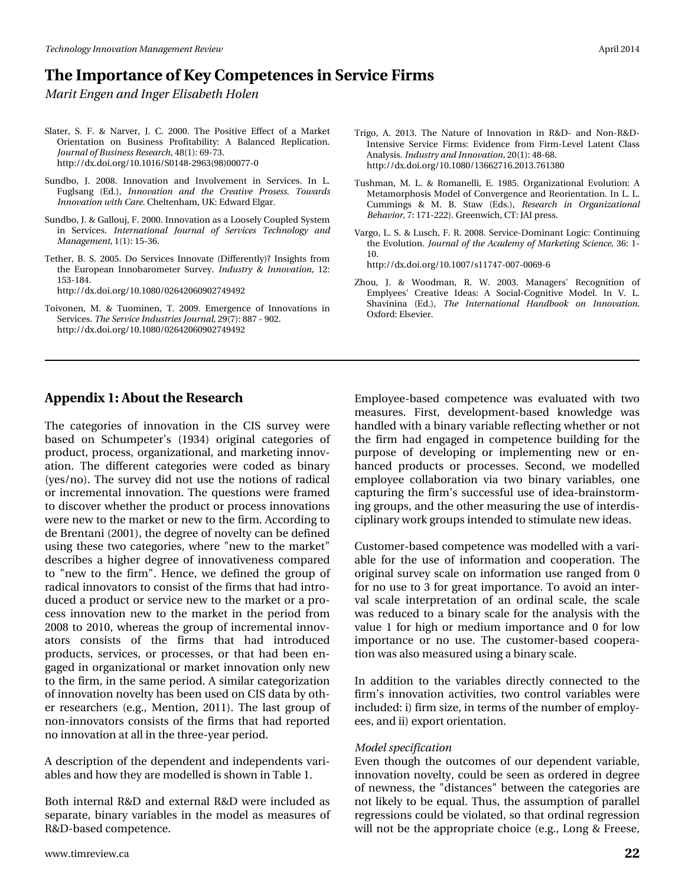*Marit Engen and Inger Elisabeth Holen*

- Slater, S. F. & Narver, J. C. 2000. The Positive Effect of a Market Orientation on Business Profitability: A Balanced Replication. *Journal of Business Research,* 48(1): 69-73. http://dx.doi.org/10.1016/S0148-2963(98)00077-0
- Sundbo, J. 2008. Innovation and Involvement in Services. In L. Fuglsang (Ed.), *Innovation and the Creative Prosess. Towards Innovation with Care.* Cheltenham, UK: Edward Elgar.
- Sundbo, J. & Gallouj, F. 2000. Innovation as a Loosely Coupled System in Services. *International Journal of Services Technology and Management,* 1(1): 15-36.
- Tether, B. S. 2005. Do Services Innovate (Differently)? Insights from the European Innobarometer Survey. *Industry & Innovation,* 12: 153-184.

http://dx.doi.org/10.1080/02642060902749492

Toivonen, M. & Tuominen, T. 2009. Emergence of Innovations in Services. *The Service Industries Journal,* 29(7): 887 - 902. http://dx.doi.org/10.1080/02642060902749492

- Trigo, A. 2013. The Nature of Innovation in R&D- and Non-R&D-Intensive Service Firms: Evidence from Firm-Level Latent Class Analysis. *Industry and Innovation,* 20(1): 48-68. http://dx.doi.org/10.1080/13662716.2013.761380
- Tushman, M. L. & Romanelli, E. 1985. Organizational Evolution: A Metamorphosis Model of Convergence and Reorientation. In L. L. Cummings & M. B. Staw (Eds.), *Research in Organizational Behavior,* 7: 171-222). Greenwich, CT: JAI press.
- Vargo, L. S. & Lusch, F. R. 2008. Service-Dominant Logic: Continuing the Evolution. *Journal of the Academy of Marketing Science,* 36: 1- 10.

http://dx.doi.org/10.1007/s11747-007-0069-6

Zhou, J. & Woodman, R. W. 2003. Managers' Recognition of Emplyees' Creative Ideas: A Social-Cognitive Model. In V. L. Shavinina (Ed.), *The International Handbook on Innovation.* Oxford: Elsevier.

#### **Appendix 1: About the Research**

The categories of innovation in the CIS survey were based on Schumpeter's (1934) original categories of product, process, organizational, and marketing innovation. The different categories were coded as binary (yes/no). The survey did not use the notions of radical or incremental innovation. The questions were framed to discover whether the product or process innovations were new to the market or new to the firm. According to de Brentani (2001), the degree of novelty can be defined using these two categories, where "new to the market" describes a higher degree of innovativeness compared to "new to the firm". Hence, we defined the group of radical innovators to consist of the firms that had introduced a product or service new to the market or a process innovation new to the market in the period from 2008 to 2010, whereas the group of incremental innovators consists of the firms that had introduced products, services, or processes, or that had been engaged in organizational or market innovation only new to the firm, in the same period. A similar categorization of innovation novelty has been used on CIS data by other researchers (e.g., Mention, 2011). The last group of non-innovators consists of the firms that had reported no innovation at all in the three-year period.

A description of the dependent and independents variables and how they are modelled is shown in Table 1.

Both internal R&D and external R&D were included as separate, binary variables in the model as measures of R&D-based competence.

Employee-based competence was evaluated with two measures. First, development-based knowledge was handled with a binary variable reflecting whether or not the firm had engaged in competence building for the purpose of developing or implementing new or enhanced products or processes. Second, we modelled employee collaboration via two binary variables, one capturing the firm's successful use of idea-brainstorming groups, and the other measuring the use of interdisciplinary work groups intended to stimulate new ideas.

Customer-based competence was modelled with a variable for the use of information and cooperation. The original survey scale on information use ranged from 0 for no use to 3 for great importance. To avoid an interval scale interpretation of an ordinal scale, the scale was reduced to a binary scale for the analysis with the value 1 for high or medium importance and 0 for low importance or no use. The customer-based cooperation was also measured using a binary scale.

In addition to the variables directly connected to the firm's innovation activities, two control variables were included: i) firm size, in terms of the number of employees, and ii) export orientation.

#### *Model specification*

Even though the outcomes of our dependent variable, innovation novelty, could be seen as ordered in degree of newness, the "distances" between the categories are not likely to be equal. Thus, the assumption of parallel regressions could be violated, so that ordinal regression will not be the appropriate choice (e.g., Long & Freese,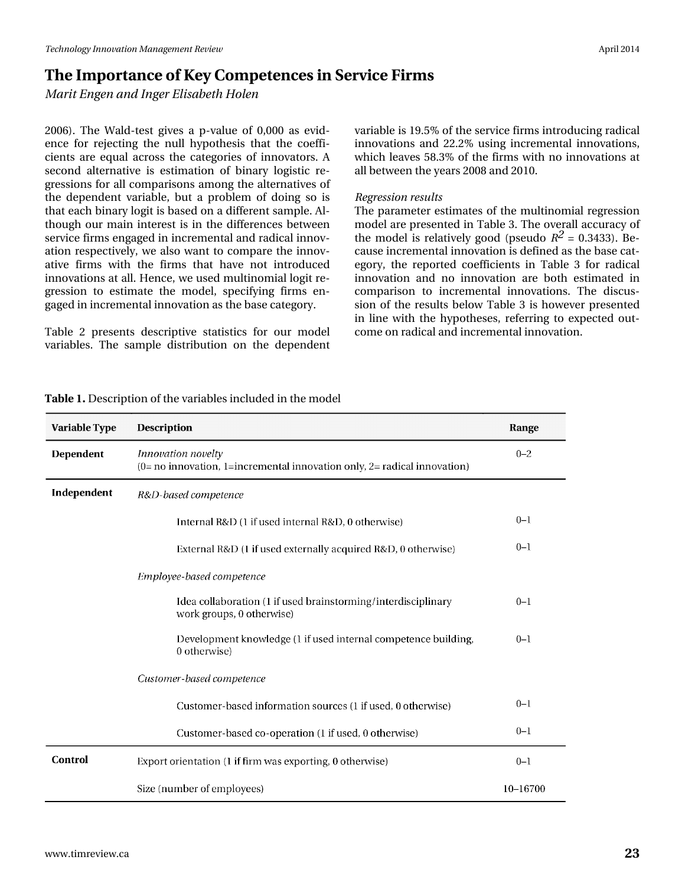*Marit Engen and Inger Elisabeth Holen*

2006). The Wald-test gives a p-value of 0,000 as evidence for rejecting the null hypothesis that the coefficients are equal across the categories of innovators. A second alternative is estimation of binary logistic regressions for all comparisons among the alternatives of the dependent variable, but a problem of doing so is that each binary logit is based on a different sample. Although our main interest is in the differences between service firms engaged in incremental and radical innovation respectively, we also want to compare the innovative firms with the firms that have not introduced innovations at all. Hence, we used multinomial logit regression to estimate the model, specifying firms engaged in incremental innovation as the base category.

Table 2 presents descriptive statistics for our model variables. The sample distribution on the dependent variable is 19.5% of the service firms introducing radical innovations and 22.2% using incremental innovations, which leaves 58.3% of the firms with no innovations at all between the years 2008 and 2010.

#### *Regression results*

The parameter estimates of the multinomial regression model are presented in Table 3. The overall accuracy of the model is relatively good (pseudo  $R^2$  = 0.3433). Because incremental innovation is defined as the base category, the reported coefficients in Table 3 for radical innovation and no innovation are both estimated in comparison to incremental innovations. The discussion of the results below Table 3 is however presented in line with the hypotheses, referring to expected outcome on radical and incremental innovation.

| Variable Type | <b>Description</b>                                                                               | Range    |
|---------------|--------------------------------------------------------------------------------------------------|----------|
| Dependent     | Innovation novelty<br>$(0=$ no innovation, 1=incremental innovation only, 2= radical innovation) | $0 - 2$  |
| Independent   | R&D-based competence                                                                             |          |
|               | Internal R&D (1 if used internal R&D, 0 otherwise)                                               | $0 - 1$  |
|               | External R&D (1 if used externally acquired R&D, 0 otherwise)                                    | $0 - 1$  |
|               | Employee-based competence                                                                        |          |
|               | Idea collaboration (1 if used brainstorming/interdisciplinary<br>work groups, 0 otherwise)       | $0 - 1$  |
|               | Development knowledge (1 if used internal competence building,<br>0 otherwise)                   | $0 - 1$  |
|               | Customer-based competence                                                                        |          |
|               | Customer-based information sources (1 if used, 0 otherwise)                                      | $0 - 1$  |
|               | Customer-based co-operation (1 if used, 0 otherwise)                                             | $0-1$    |
| Control       | Export orientation (1 if firm was exporting, 0 otherwise)                                        | $0 - 1$  |
|               | Size (number of employees)                                                                       | 10-16700 |

#### **Table 1.** Description of the variables included in the model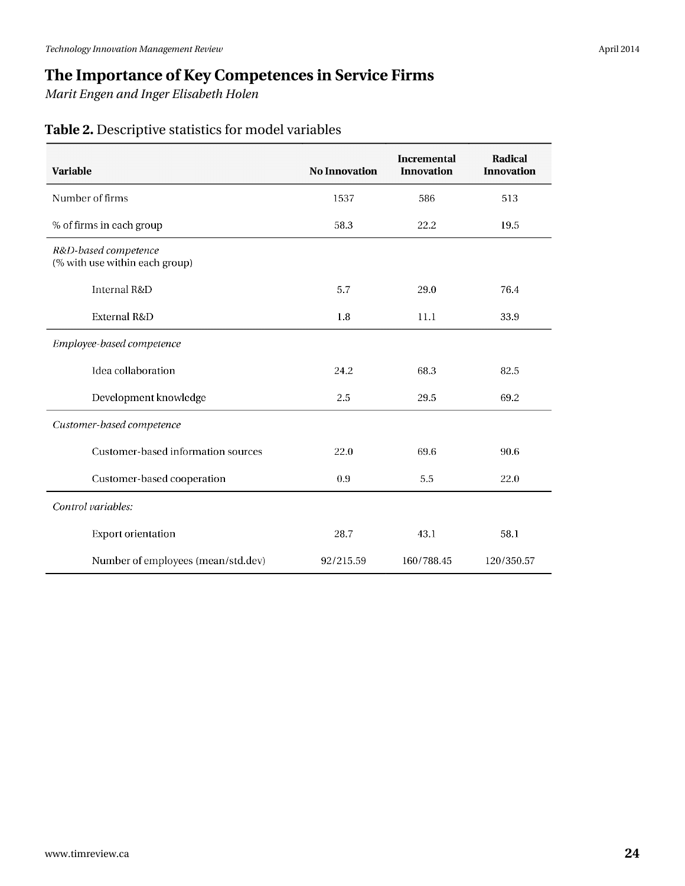*Marit Engen and Inger Elisabeth Holen*

## **Table 2.** Descriptive statistics for model variables

| Variable                                               | <b>No Innovation</b> | Incremental<br><b>Innovation</b> | Radical<br>Innovation |
|--------------------------------------------------------|----------------------|----------------------------------|-----------------------|
| Number of firms                                        | 1537                 | 586                              | 513                   |
| % of firms in each group                               | 58.3                 | 22.2                             | 19.5                  |
| R&D-based competence<br>(% with use within each group) |                      |                                  |                       |
| Internal R&D                                           | 5.7                  | 29.0                             | 76.4                  |
| External R&D                                           | 1.8                  | 11.1                             | 33.9                  |
| Employee-based competence                              |                      |                                  |                       |
| Idea collaboration                                     | 24.2                 | 68.3                             | 82.5                  |
| Development knowledge                                  | 2.5                  | 29.5                             | 69.2                  |
| Customer-based competence                              |                      |                                  |                       |
| Customer-based information sources                     | 22.0                 | 69.6                             | 90.6                  |
| Customer-based cooperation                             | 0.9                  | 5.5                              | 22.0                  |
| Control variables:                                     |                      |                                  |                       |
| <b>Export orientation</b>                              | 28.7                 | 43.1                             | 58.1                  |
| Number of employees (mean/std.dev)                     | 92/215.59            | 160/788.45                       | 120/350.57            |